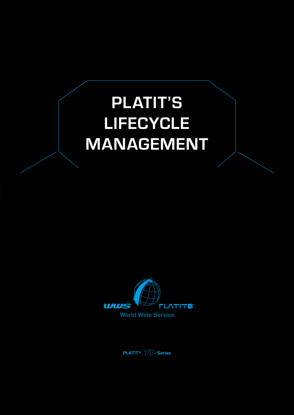# **PLATIT'S LIFECYCLE MANAGEMENT**



**PLATIT**®  $\widehat{D}\widehat{D}$ - Series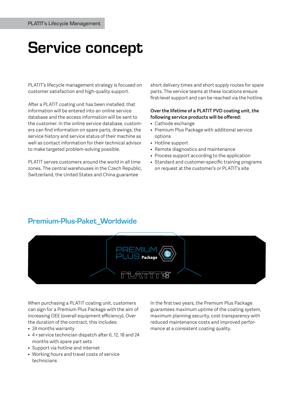## **Service concept**

PLATIT's lifecycle management strategy is focused on customer satisfaction and high-quality support.

After a PLATIT coating unit has been installed, that information will be entered into an online service database and the access information will be sent to the customer. In the online service database, customers can find information on spare parts, drawings, the service history and service status of their machine as well as contact information for their technical advisor to make targeted problem-solving possible.

PLATIT serves customers around the world in all time zones. The central warehouses in the Czech Republic, Switzerland, the United States and China guarantee

short delivery times and short supply routes for spare parts. The service teams at these locations ensure first-level support and can be reached via the hotline.

#### **Over the lifetime of a PLATIT PVD coating unit, the following service products will be offered:**

- Cathode exchange
- Premium Plus Package with additional service options
- Hotline support
- Remote diagnostics and maintenance
- Process support according to the application
- Standard and customer-specific training programs on request at the customer's or PLATIT's site

## **Premium-Plus-Paket\_Worldwide**



When purchasing a PLATIT coating unit, customers can sign for a Premium Plus Package with the aim of increasing OEE (overall equipment efficiency). Over the duration of the contract, this includes:

- 24 months warranty
- 4 × service technician dispatch after 6, 12, 18 and 24 months with spare part sets
- Support via hotline and internet
- Working hours and travel costs of service technicians

In the first two years, the Premium Plus Package guarantees maximum uptime of the coating system, maximum planning security, cost transparency with reduced maintenance costs and improved performance at a consistent coating quality.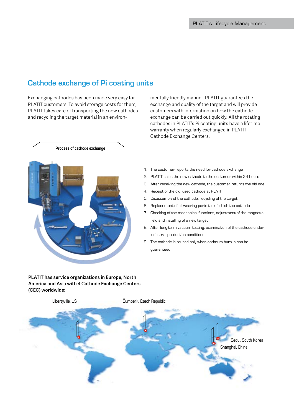### **Cathode exchange of Pi coating units**

PLATIT takes care of transporting the new cathodes Exchanging cathodes has been made very easy for PLATIT customers. To avoid storage costs for them, and recycling the target material in an environ-

**Process of cathode exchange** 

Cathode Exchange Centers. mentally friendly manner. PLATIT guarantees the exchange and quality of the target and will provide customers with information on how the cathode exchange can be carried out quickly. All the rotating cathodes in PLATIT's Pi coating units have a lifetime warranty when regularly exchanged in PLATIT

- 1. The customer reports the need for cathode exchange
- 2. PLATIT ships the new cathode to the customer within 24 hours
- 3. After receiving the new cathode, the customer returns the old one
- 4. Receipt of the old, used cathode at PLATIT  $\frac{1}{2}$  and  $\frac{1}{2}$  and  $\frac{1}{2}$  and  $\frac{1}{2}$  and  $\frac{1}{2}$  and  $\frac{1}{2}$  and  $\frac{1}{2}$  and  $\frac{1}{2}$  and  $\frac{1}{2}$  and  $\frac{1}{2}$  and  $\frac{1}{2}$  and  $\frac{1}{2}$  and  $\frac{1}{2}$  and  $\frac{1}{2}$  and  $\frac{1}{2}$  and  $\frac{1}{2}$  a
- 5. Disassembly of the cathode, recycling of the target
- 6. Replacement of all wearing parts to refurbish the cathode
- 7. Checking of the mechanical functions, adjustment of the magnetic field and installing of a new target
- 8. After long-term vacuum testing, examination of the cathode under industrial production conditions
- 9. The cathode is reused only when optimum burn-in can be guaranteed

**PLATIT has service organizations in Europe, North America and Asia with 4 Cathode Exchange Centers (CEC) worldwide:**

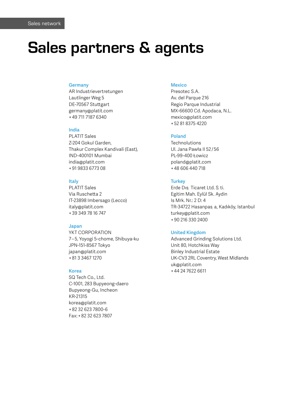## **Sales partners & agents**

#### **Germany**

AR Industrievertretungen Lautlinger Weg 5 DE-70567 Stuttgart germany@platit.com + 49 711 7187 6340

#### **India**

PLATIT Sales Z-204 Gokul Garden, Thakur Complex Kandivali (East), IND-400101 Mumbai india@platit.com + 91 9833 6773 08

#### **Italy**

PLATIT Sales Via Ruschetta 2 IT-23898 Imbersago (Lecco) italy@platit.com + 39 349 78 16 747

#### **Japan**

YKT CORPORATION 7 – 5, Yoyogi 5-chome, Shibuya-ku JPN-151-8567 Tokyo japan@platit.com + 81 3 3467 1270

#### **Korea**

SQ Tech Co., Ltd. C-1001, 283 Bupyeong-daero Bupyeong-Gu, Incheon KR-21315 korea@platit.com + 82 32 623 7800-6 Fax: + 82 32 623 7807

#### **Mexico**

Presotec S.A. Av. del Parque 216 Regio Parque Industrial MX-66600 Cd. Apodaca, N.L. mexico@platit.com + 52 81 8375 4220

#### **Poland**

**Technolutions** Ul. Jana Pawła II 52 / 56 PL-99-400 Łowicz poland@platit.com + 48 606 440 718

#### **Turkey**

Erde Dıs¸ Ticaret Ltd. S¸ ti. Egitim Mah. Eylül Sk. Aydin Is Mrk. Nr.: 2 D: 4 TR-34722 Hasanpas¸ a, Kadıköy, Istanbul turkey@platit.com + 90 216 330 2400

#### **United Kingdom**

Advanced Grinding Solutions Ltd. Unit 80, Hotchkiss Way Binley Industrial Estate UK-CV3 2RL Coventry, West Midlands uk@platit.com + 44 24 7622 6611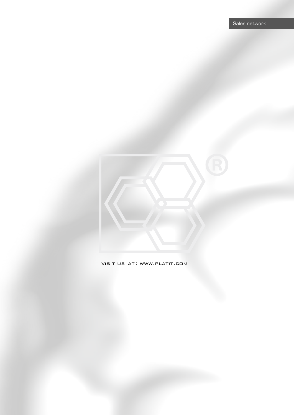### VISIT US AT: WWW.PLATIT.COM